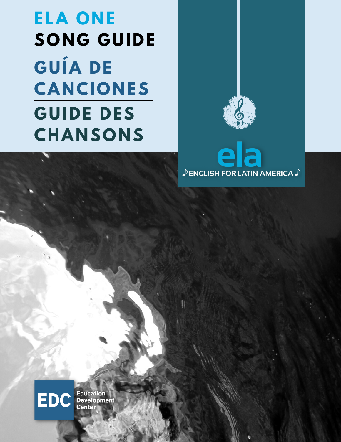# **ELA ONE SONG GUIDE GUÍA DE CANCIONES GUIDE DES CHANSONS**



la  $\mathbf{\Omega}$  $\mathcal P$  ENGLISH FOR LATIN AMERICA  $\mathcal P$ 



**Education<br>Development Center**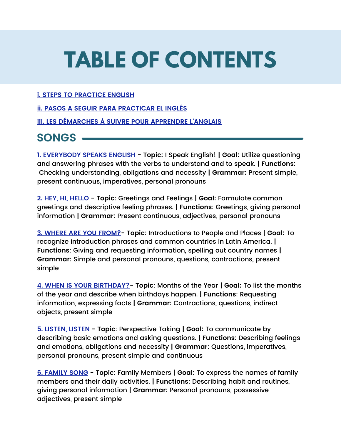# **TABLE OF CONTENTS**

#### **i. STEPS TO PRACTICE ENGLISH**

**ii. PASOS A SEGUIR PARA PRACTICAR EL INGLÉS**

**iii. LES DÉMARCHES À SUIVRE POUR APPRENDRE L'ANGLAIS**

#### **SONGS**

**1. EVERYBODY SPEAKS ENGLISH - Topic:** I Speak English! **| Goal:** Utilize questioning and answering phrases with the verbs to understand and to speak. **| Functions:** Checking understanding, obligations and necessity **| Grammar:** Present simple, present continuous, imperatives, personal pronouns

**2. HEY, HI, HELLO - Topic**: Greetings and Feelings **| Goal:** Formulate common greetings and descriptive feeling phrases. **| Functions**: Greetings, giving personal information **| Grammar**: Present continuous, adjectives, personal pronouns

**3. WHERE ARE YOU FROM?- Topic**: Introductions to People and Places **| Goal:** To recognize introduction phrases and common countries in Latin America. **| Functions**: Giving and requesting information, spelling out country names **| Grammar**: Simple and personal pronouns, questions, contractions, present simple

**4. WHEN IS YOUR BIRTHDAY?- Topic**: Months of the Year **| Goal:** To list the months of the year and describe when birthdays happen. **| Functions**: Requesting information, expressing facts **| Grammar**: Contractions, questions, indirect objects, present simple

**5. LISTEN, LISTEN - Topic**: Perspective Taking **| Goal:** To communicate by describing basic emotions and asking questions. **| Functions**: Describing feelings and emotions, obligations and necessity **| Grammar**: Questions, imperatives, personal pronouns, present simple and continuous

**6. FAMILY SONG - Topic**: Family Members **| Goal:** To express the names of family members and their daily activities. **| Functions**: Describing habit and routines, giving personal information **| Grammar**: Personal pronouns, possessive adjectives, present simple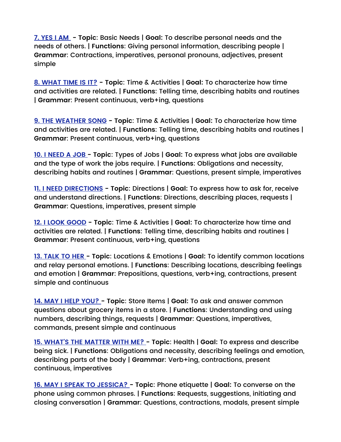**7. YES I AM - Topic**: Basic Needs | **Goal:** To describe personal needs and the needs of others. | **Functions**: Giving personal information, describing people | **Grammar**: Contractions, imperatives, personal pronouns, adjectives, present simple

**8. WHAT TIME IS IT? - Topic**: Time & Activities | **Goal:** To characterize how time and activities are related. | **Functions**: Telling time, describing habits and routines | **Grammar**: Present continuous, verb+ing, questions

**9. THE WEATHER SONG - Topic**: Time & Activities | **Goal:** To characterize how time and activities are related. | **Functions**: Telling time, describing habits and routines | **Grammar**: Present continuous, verb+ing, questions

**10. I NEED A JOB - Topic**: Types of Jobs | **Goal:** To express what jobs are available and the type of work the jobs require. | **Functions**: Obligations and necessity, describing habits and routines | **Grammar**: Questions, present simple, imperatives

**11. I NEED DIRECTIONS - Topic**: Directions | **Goal:** To express how to ask for, receive and understand directions. | **Functions**: Directions, describing places, requests | **Grammar**: Questions, imperatives, present simple

**12. I LOOK GOOD - Topic**: Time & Activities | **Goal:** To characterize how time and activities are related. | **Functions**: Telling time, describing habits and routines | **Grammar**: Present continuous, verb+ing, questions

**13. TALK TO HER - Topic**: Locations & Emotions | **Goal:** To identify common locations and relay personal emotions. | **Functions**: Describing locations, describing feelings and emotion | **Grammar**: Prepositions, questions, verb+ing, contractions, present simple and continuous

**14. MAY I HELP YOU? - Topic**: Store Items | **Goal:** To ask and answer common questions about grocery items in a store. | **Functions**: Understanding and using numbers, describing things, requests | **Grammar**: Questions, imperatives, commands, present simple and continuous

**15. WHAT'S THE MATTER WITH ME? - Topic**: Health | **Goal:** To express and describe being sick. | **Functions**: Obligations and necessity, describing feelings and emotion, describing parts of the body | **Grammar**: Verb+ing, contractions, present continuous, imperatives

**16. MAY I SPEAK TO JESSICA? - Topic**: Phone etiquette | **Goal:** To converse on the phone using common phrases. | **Functions**: Requests, suggestions, initiating and closing conversation | **Grammar**: Questions, contractions, modals, present simple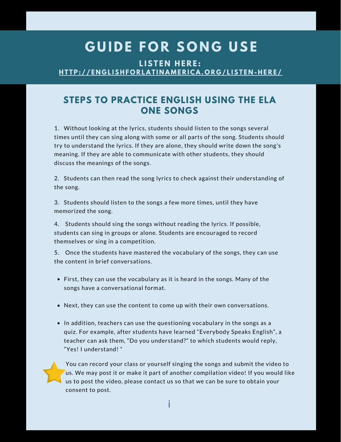### $G$  UIDE FOR SONG USE

**LISTEN HERE:** HT[TP:](http://englishforlatinamerica.org/listen-here/)//ENGLISHFORLATINAMERICA.ORG/LISTEN-HERE/

#### **STEPS TO PRACTICE ENGLISH USING THE ELA ONE SONGS**

1. Without looking at the lyrics, students should listen to the songs several times until they can sing along with some or all parts of the song. Students should try to understand the lyrics. If they are alone, they should write down the song's meaning. If they are able to communicate with other students, they should discuss the meanings of the songs.

2. Students can then read the song lyrics to check against their understanding of the song.

3. Students should listen to the songs a few more times, until they have memorized the song.

4. Students should sing the songs without reading the lyrics. If possible, students can sing in groups or alone. Students are encouraged to record themselves or sing in a competition.

5. Once the students have mastered the vocabulary of the songs, they can use the content in brief conversations.

- First, they can use the vocabulary as it is heard in the songs. Many of the songs have a conversational format.
- Next, they can use the content to come up with their own conversations.
- In addition, teachers can use the questioning vocabulary in the songs as a quiz. For example, after students have learned "Everybody Speaks English", a teacher can ask them, "Do you understand?" to which students would reply, "Yes! I understand! "

You can record your class or yourself singing the songs and submit the video to us. We may post it or make it part of another compilation video! If you would like us to post the video, please contact us so that we can be sure to obtain your consent to post.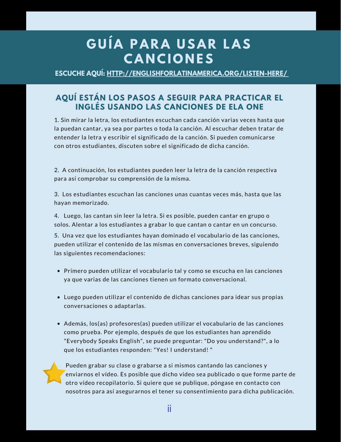### **G U Í A P A R A U S A R L A S C A N C I O N ES**

**ESCUCHE AQUÍ: [HTTP://ENGLISHFORLATINAMERICA.ORG/LISTEN-HERE/](http://englishforlatinamerica.org/listen-here/)**

#### **AQUÍ ESTÁN LOS PASOS A SEGUIR PARA PRACTICAR EL INGLÉS USANDO LAS CANCIONES DE ELA ONE**

1. Sin mirar la letra, los estudiantes escuchan cada canción varias veces hasta que la puedan cantar, ya sea por partes o toda la canción. Al escuchar deben tratar de entender la letra y escribir el significado de la canción. Si pueden comunicarse con otros estudiantes, discuten sobre el significado de dicha canción.

2. A continuación, los estudiantes pueden leer la letra de la canción respectiva para así comprobar su comprensión de la misma.

3. Los estudiantes escuchan las canciones unas cuantas veces más, hasta que las hayan memorizado.

4. Luego, las cantan sin leer la letra. Si es posible, pueden cantar en grupo o solos. Alentar a los estudiantes a grabar lo que cantan o cantar en un concurso.

5. Una vez que los estudiantes hayan dominado el vocabulario de las canciones, pueden utilizar el contenido de las mismas en conversaciones breves, siguiendo las siguientes recomendaciones:

- Primero pueden utilizar el vocabulario tal y como se escucha en las canciones ya que varias de las canciones tienen un formato conversacional.
- Luego pueden utilizar el contenido de dichas canciones para idear sus propias conversaciones o adaptarlas.
- Además, los(as) profesores(as) pueden utilizar el vocabulario de las canciones como prueba. Por ejemplo, después de que los estudiantes han aprendido "Everybody Speaks English", se puede preguntar: "Do you understand?", a lo que los estudiantes responden: "Yes! I understand! "

Pueden grabar su clase o grabarse a si mismos cantando las canciones y enviarnos el vídeo. Es posible que dicho video sea publicado o que forme parte de otro vídeo recopilatorio. Si quiere que se publique, póngase en contacto con nosotros para así asegurarnos el tener su consentimiento para dicha publicación.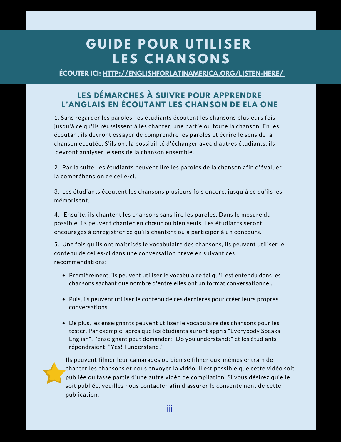### $G$  **UIDE POUR UTILISER LES CHANSONS**

**ÉCOUTER ICI: [HTTP://ENGLISHFORLATINAMERICA.ORG/LISTEN-HERE/](http://englishforlatinamerica.org/listen-here/)**

#### **LES DÉMARCHES À SUIVRE POUR APPRENDRE L'ANGLAIS EN ÉCOUTANT LES CHANSON DE ELA ONE**

1. Sans regarder les paroles, les étudiants écoutent les chansons plusieurs fois jusqu'à ce qu'ils réussissent à les chanter, une partie ou toute la chanson. En les écoutant ils devront essayer de comprendre les paroles et écrire le sens de la chanson écoutée. S'ils ont la possibilité d'échanger avec d'autres étudiants, ils devront analyser le sens de la chanson ensemble.

2. Par la suite, les étudiants peuvent lire les paroles de la chanson afin d'évaluer la compréhension de celle-ci.

3. Les étudiants écoutent les chansons plusieurs fois encore, jusqu'à ce qu'ils les mémorisent.

4. Ensuite, ils chantent les chansons sans lire les paroles. Dans le mesure du possible, ils peuvent chanter en chœur ou bien seuls. Les étudiants seront encouragés à enregistrer ce qu'ils chantent ou à participer à un concours.

5. Une fois qu'ils ont maîtrisés le vocabulaire des chansons, ils peuvent utiliser le contenu de celles-ci dans une conversation brève en suivant ces recommendations:

- Premièrement, ils peuvent utiliser le vocabulaire tel qu'il est entendu dans les chansons sachant que nombre d'entre elles ont un format conversationnel.
- Puis, ils peuvent utiliser le contenu de ces dernières pour créer leurs propres conversations.
- De plus, les enseignants peuvent utiliser le vocabulaire des chansons pour les tester. Par exemple, après que les étudiants auront appris "Everybody Speaks English", l'enseignant peut demander: "Do you understand?" et les étudiants répondraient: "Yes! I understand!"

Ils peuvent filmer leur camarades ou bien se filmer eux-mêmes entrain de chanter les chansons et nous envoyer la vidéo. Il est possible que cette vidéo soit publiée ou fasse partie d'une autre vidéo de compilation. Si vous désirez qu'elle soit publiée, veuillez nous contacter afin d'assurer le consentement de cette publication.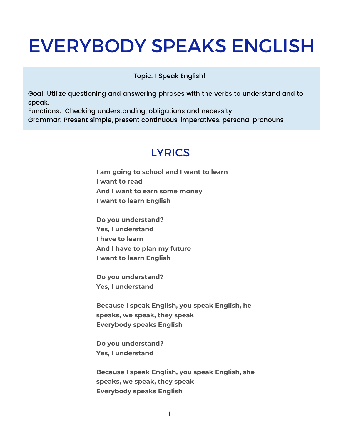### EVERYBODY SPEAKS ENGLISH

Topic: I Speak English!

Goal: Utilize questioning and answering phrases with the verbs to understand and to speak.

Functions: Checking understanding, obligations and necessity Grammar: Present simple, present continuous, imperatives, personal pronouns

#### **LYRICS**

**I am going to school and I want to learn I want to read And I want to earn some money I want to learn English**

**Do you understand? Yes, I understand I have to learn And I have to plan my future I want to learn English**

**Do you understand? Yes, I understand**

**Because I speak English, you speak English, he speaks, we speak, they speak Everybody speaks English**

**Do you understand? Yes, I understand**

**Because I speak English, you speak English, she speaks, we speak, they speak Everybody speaks English**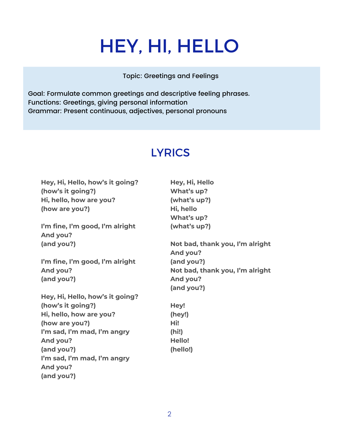## HEY, HI, HELLO

Topic: Greetings and Feelings

Goal: Formulate common greetings and descriptive feeling phrases. Functions: Greetings, giving personal information Grammar: Present continuous, adjectives, personal pronouns

### **LYRICS**

| Hey, Hi, Hello, how's it going? | Hey, Hi, Hello                  |
|---------------------------------|---------------------------------|
| (how's it going?)               | What's up?                      |
| Hi, hello, how are you?         | (what's up?)                    |
| (how are you?)                  | Hi, hello                       |
|                                 | What's up?                      |
| I'm fine, I'm good, I'm alright | (what's up?)                    |
| And you?                        |                                 |
| (and you?)                      | Not bad, thank you, I'm alright |
|                                 | And you?                        |
| I'm fine, I'm good, I'm alright | (and you?)                      |
| And you?                        | Not bad, thank you, I'm alright |
| (and you?)                      | And you?                        |
|                                 | (and you?)                      |
| Hey, Hi, Hello, how's it going? |                                 |
| (how's it going?)               | Hey!                            |
| Hi, hello, how are you?         | (hey!)                          |
| (how are you?)                  | Hi!                             |
| I'm sad, I'm mad, I'm angry     | (hi!)                           |
| And you?                        | Hello!                          |
| (and you?)                      | (hello!)                        |
| I'm sad, I'm mad, I'm angry     |                                 |
| And you?                        |                                 |
| (and you?)                      |                                 |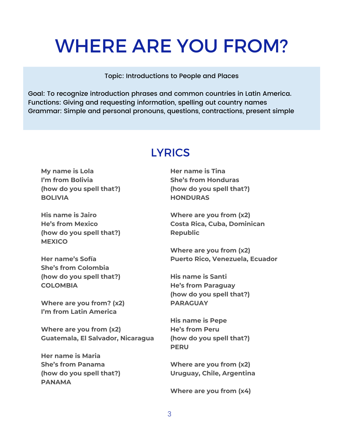### WHERE ARE YOU FROM?

Topic: Introductions to People and Places

Goal: To recognize introduction phrases and common countries in Latin America. Functions: Giving and requesting information, spelling out country names Grammar: Simple and personal pronouns, questions, contractions, present simple

### **LYRICS**

**My name is Lola I'm from Bolivia (how do you spell that?) BOLIVIA**

**His name is Jairo He's from Mexico (how do you spell that?) MEXICO**

**Her name's Sofía She's from Colombia (how do you spell that?) COLOMBIA**

**Where are you from? (x2) I'm from Latin America**

**Where are you from (x2) Guatemala, El Salvador, Nicaragua**

**Her name is Maria She's from Panama (how do you spell that?) PANAMA**

**Her name is Tina She's from Honduras (how do you spell that?) HONDURAS**

**Where are you from (x2) Costa Rica, Cuba, Dominican Republic**

**Where are you from (x2) Puerto Rico, Venezuela, Ecuador**

**His name is Santi He's from Paraguay (how do you spell that?) PARAGUAY**

**His name is Pepe He's from Peru (how do you spell that?) PERU**

**Where are you from (x2) Uruguay, Chile, Argentina**

**Where are you from (x4)**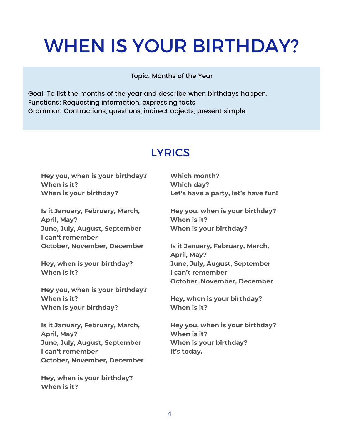## WHEN IS YOUR BIRTHDAY?

Topic: Months of the Year

Goal: To list the months of the year and describe when birthdays happen. Functions: Requesting information, expressing facts Grammar: Contractions, questions, indirect objects, present simple

### **LYRICS**

**Hey you, when is your birthday? When is it? When is your birthday?**

**Is it January, February, March, April, May? June, July, August, September I can't remember October, November, December**

**Hey, when is your birthday? When is it?**

**Hey you, when is your birthday? When is it? When is your birthday?**

**Is it January, February, March, April, May? June, July, August, September I can't remember October, November, December**

**Hey, when is your birthday? When is it?**

**Which month? Which day? Let's have a party, let's have fun!**

**Hey you, when is your birthday? When is it? When is your birthday?**

**Is it January, February, March, April, May? June, July, August, September I can't remember October, November, December**

**Hey, when is your birthday? When is it?**

**Hey you, when is your birthday? When is it? When is your birthday? It's today.**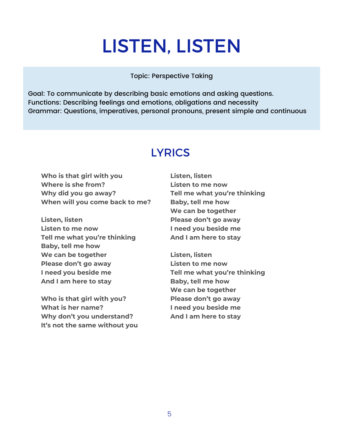## LISTEN, LISTEN

#### Topic: Perspective Taking

Goal: To communicate by describing basic emotions and asking questions. Functions: Describing feelings and emotions, obligations and necessity Grammar: Questions, imperatives, personal pronouns, present simple and continuous

#### **LYRICS**

**Who is that girl with you Where is she from? Why did you go away? When will you come back to me?**

**Listen, listen Listen to me now Tell me what you're thinking Baby, tell me how We can be together Please don't go away I need you beside me And I am here to stay**

**Who is that girl with you? What is her name? Why don't you understand? It's not the same without you**

**Listen, listen Listen to me now Tell me what you're thinking Baby, tell me how We can be together Please don't go away I need you beside me And I am here to stay**

**Listen, listen Listen to me now Tell me what you're thinking Baby, tell me how We can be together Please don't go away I need you beside me And I am here to stay**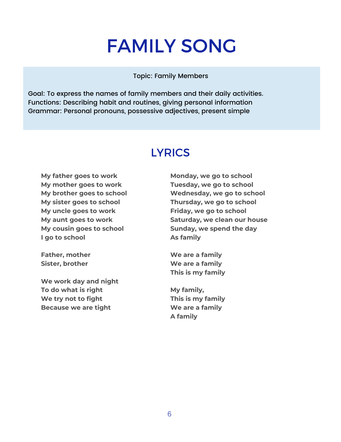## FAMILY SONG

#### Topic: Family Members

Goal: To express the names of family members and their daily activities. Functions: Describing habit and routines, giving personal information Grammar: Personal pronouns, possessive adjectives, present simple

#### **LYRICS**

**My father goes to work My mother goes to work My brother goes to school My sister goes to school My uncle goes to work My aunt goes to work My cousin goes to school I go to school**

**Father, mother Sister, brother**

**We work day and night To do what is right We try not to fight Because we are tight**

**Monday, we go to school Tuesday, we go to school Wednesday, we go to school Thursday, we go to school Friday, we go to school Saturday, we clean our house Sunday, we spend the day As family**

**We are a family We are a family This is my family**

**My family, This is my family We are a family A family**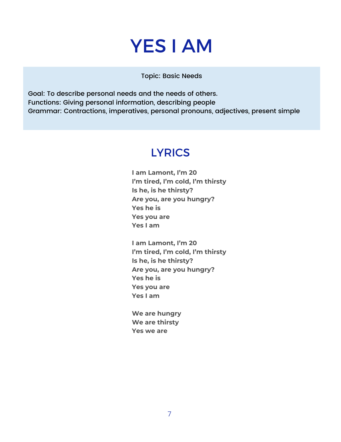### YES I AM

Topic: Basic Needs

Goal: To describe personal needs and the needs of others. Functions: Giving personal information, describing people Grammar: Contractions, imperatives, personal pronouns, adjectives, present simple

#### **LYRICS**

**I am Lamont, I'm 20 I'm tired, I'm cold, I'm thirsty Is he, is he thirsty? Are you, are you hungry? Yes he is Yes you are Yes I am**

**I am Lamont, I'm 20 I'm tired, I'm cold, I'm thirsty Is he, is he thirsty? Are you, are you hungry? Yes he is Yes you are Yes I am**

**We are hungry We are thirsty Yes we are**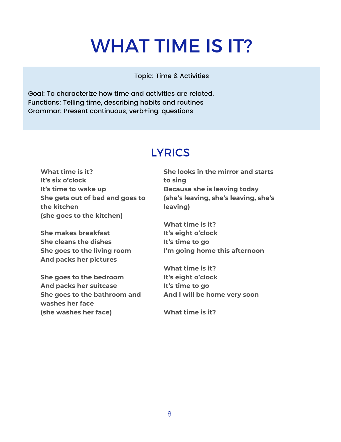## WHAT TIME IS IT?

#### Topic: Time & Activities

Goal: To characterize how time and activities are related. Functions: Telling time, describing habits and routines Grammar: Present continuous, verb+ing, questions

#### **LYRICS**

**What time is it? It's six o'clock It's time to wake up She gets out of bed and goes to the kitchen (she goes to the kitchen)**

**She makes breakfast She cleans the dishes She goes to the living room And packs her pictures**

**She goes to the bedroom And packs her suitcase She goes to the bathroom and washes her face (she washes her face)**

**She looks in the mirror and starts to sing Because she is leaving today (she's leaving, she's leaving, she's leaving)**

**What time is it? It's eight o'clock It's time to go I'm going home this afternoon**

**What time is it? It's eight o'clock It's time to go And I will be home very soon**

**What time is it?**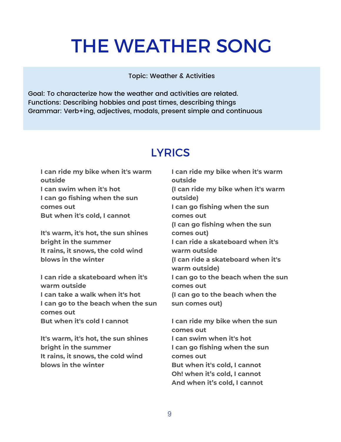## THE WEATHER SONG

#### Topic: Weather & Activities

Goal: To characterize how the weather and activities are related. Functions: Describing hobbies and past times, describing things Grammar: Verb+ing, adjectives, modals, present simple and continuous

#### **LYRICS**

**I can ride my bike when it's warm outside I can swim when it's hot I can go fishing when the sun comes out But when it's cold, I cannot**

**It's warm, it's hot, the sun shines bright in the summer It rains, it snows, the cold wind blows in the winter**

**I can ride a skateboard when it's warm outside I can take a walk when it's hot I can go to the beach when the sun comes out But when it's cold I cannot**

**It's warm, it's hot, the sun shines bright in the summer It rains, it snows, the cold wind blows in the winter**

**I can ride my bike when it's warm outside (I can ride my bike when it's warm outside) I can go fishing when the sun comes out (I can go fishing when the sun comes out) I can ride a skateboard when it's warm outside (I can ride a skateboard when it's warm outside) I can go to the beach when the sun comes out (I can go to the beach when the sun comes out)**

**I can ride my bike when the sun comes out I can swim when it's hot I can go fishing when the sun comes out But when it's cold, I cannot Oh! when it's cold, I cannot And when it's cold, I cannot**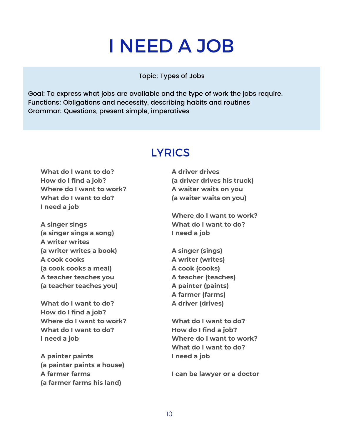## I NEED A JOB

Topic: Types of Jobs

Goal: To express what jobs are available and the type of work the jobs require. Functions: Obligations and necessity, describing habits and routines Grammar: Questions, present simple, imperatives

#### **LYRICS**

**What do I want to do? How do I find a job? Where do I want to work? What do I want to do? I need a job**

**A singer sings (a singer sings a song) A writer writes (a writer writes a book) A cook cooks (a cook cooks a meal) A teacher teaches you (a teacher teaches you)**

**What do I want to do? How do I find a job? Where do I want to work? What do I want to do? I need a job**

**A painter paints (a painter paints a house) A farmer farms (a farmer farms his land)**

**A driver drives (a driver drives his truck) A waiter waits on you (a waiter waits on you)**

**Where do I want to work? What do I want to do? I need a job**

**A singer (sings) A writer (writes) A cook (cooks) A teacher (teaches) A painter (paints) A farmer (farms) A driver (drives)**

**What do I want to do? How do I find a job? Where do I want to work? What do I want to do? I need a job**

**I can be lawyer or a doctor**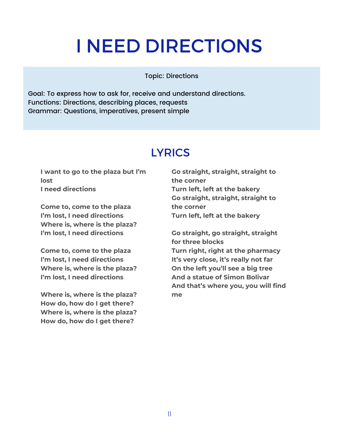## I NEED DIRECTIONS

Topic: Directions

Goal: To express how to ask for, receive and understand directions. Functions: Directions, describing places, requests Grammar: Questions, imperatives, present simple

#### **LYRICS**

**I want to go to the plaza but I'm lost I need directions**

**Come to, come to the plaza I'm lost, I need directions Where is, where is the plaza? I'm lost, I need directions**

**Come to, come to the plaza I'm lost, I need directions Where is, where is the plaza? I'm lost, I need directions**

**Where is, where is the plaza? How do, how do I get there? Where is, where is the plaza? How do, how do I get there?**

**Go straight, straight, straight to the corner Turn left, left at the bakery Go straight, straight, straight to the corner Turn left, left at the bakery**

**Go straight, go straight, straight for three blocks Turn right, right at the pharmacy It's very close, it's really not far On the left you'll see a big tree And a statue of Simon Bolivar And that's where you, you will find me**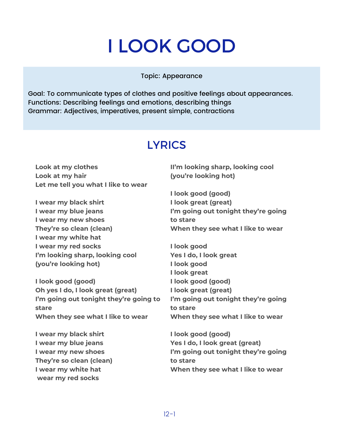## I LOOK GOOD

Topic: Appearance

Goal: To communicate types of clothes and positive feelings about appearances. Functions: Describing feelings and emotions, describing things Grammar: Adjectives, imperatives, present simple, contractions

### **LYRICS**

**Look at my clothes Look at my hair Let me tell you what I like to wear**

**I wear my black shirt I wear my blue jeans I wear my new shoes They're so clean (clean) I wear my white hat I wear my red socks I'm looking sharp, looking cool (you're looking hot)**

**I look good (good) Oh yes I do, I look great (great) I'm going out tonight they're going to stare When they see what I like to wear**

**I wear my black shirt I wear my blue jeans I wear my new shoes They're so clean (clean) I wear my white hat wear my red socks**

**II'm looking sharp, looking cool (you're looking hot)**

**I look good (good) I look great (great) I'm going out tonight they're going to stare When they see what I like to wear**

**I look good Yes I do, I look great I look good I look great I look good (good) I look great (great) I'm going out tonight they're going to stare When they see what I like to wear**

**I look good (good) Yes I do, I look great (great) I'm going out tonight they're going to stare When they see what I like to wear**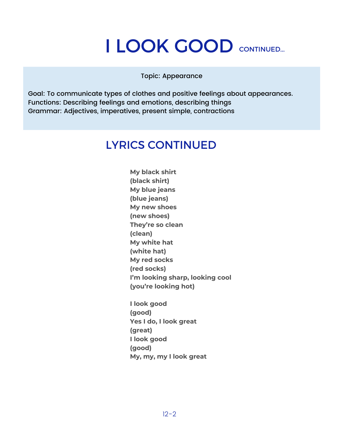## I LOOK GOOD CONTINUED...

Topic: Appearance

Goal: To communicate types of clothes and positive feelings about appearances. Functions: Describing feelings and emotions, describing things Grammar: Adjectives, imperatives, present simple, contractions

#### LYRICS CONTINUED

**My black shirt (black shirt) My blue jeans (blue jeans) My new shoes (new shoes) They're so clean (clean) My white hat (white hat) My red socks (red socks) I'm looking sharp, looking cool (you're looking hot)**

**I look good (good) Yes I do, I look great (great) I look good (good) My, my, my I look great**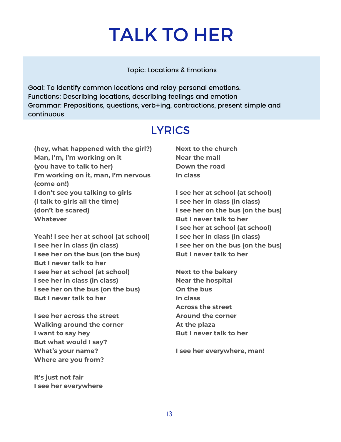## TALK TO HER

Topic: Locations & Emotions

Goal: To identify common locations and relay personal emotions. Functions: Describing locations, describing feelings and emotion Grammar: Prepositions, questions, verb+ing, contractions, present simple and continuous

### **LYRICS**

**(hey, what happened with the girl?) Man, I'm, I'm working on it (you have to talk to her) I'm working on it, man, I'm nervous (come on!) I don't see you talking to girls (I talk to girls all the time) (don't be scared) Whatever**

**Yeah! I see her at school (at school) I see her in class (in class) I see her on the bus (on the bus) But I never talk to her I see her at school (at school) I see her in class (in class) I see her on the bus (on the bus) But I never talk to her**

**I see her across the street Walking around the corner I want to say hey But what would I say? What's your name? Where are you from?**

**It's just not fair I see her everywhere** **Next to the church Near the mall Down the road In class**

**I see her at school (at school) I see her in class (in class) I see her on the bus (on the bus) But I never talk to her I see her at school (at school) I see her in class (in class) I see her on the bus (on the bus) But I never talk to her**

**Next to the bakery Near the hospital On the bus In class Across the street Around the corner At the plaza But I never talk to her**

**I see her everywhere, man!**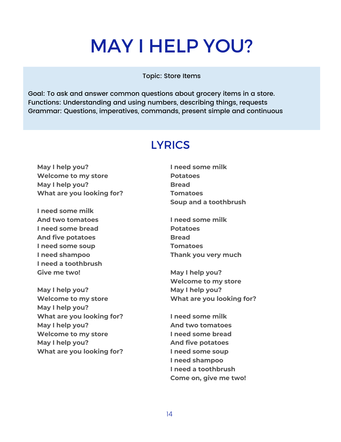## MAY I HELP YOU?

Topic: Store Items

Goal: To ask and answer common questions about grocery items in a store. Functions: Understanding and using numbers, describing things, requests Grammar: Questions, imperatives, commands, present simple and continuous

### **LYRICS**

**May I help you? Welcome to my store May I help you? What are you looking for?**

**I need some milk And two tomatoes I need some bread And five potatoes I need some soup I need shampoo I need a toothbrush Give me two!**

**May I help you? Welcome to my store May I help you? What are you looking for? May I help you? Welcome to my store May I help you? What are you looking for?**

- **I need some milk Potatoes Bread Tomatoes Soup and a toothbrush**
- **I need some milk Potatoes Bread Tomatoes Thank you very much**

**May I help you? Welcome to my store May I help you? What are you looking for?**

**I need some milk And two tomatoes I need some bread And five potatoes I need some soup I need shampoo I need a toothbrush Come on, give me two!**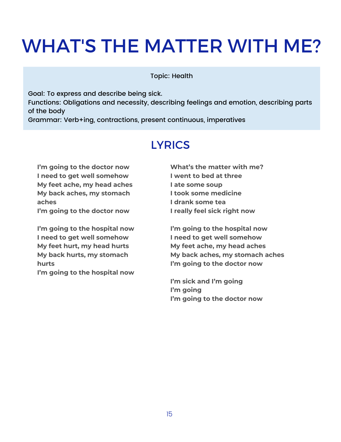## WHAT'S THE MATTER WITH ME?

Topic: Health

Goal: To express and describe being sick. Functions: Obligations and necessity, describing feelings and emotion, describing parts of the body Grammar: Verb+ing, contractions, present continuous, imperatives

#### **LYRICS**

**I'm going to the doctor now I need to get well somehow My feet ache, my head aches My back aches, my stomach aches**

**I'm going to the doctor now**

**I'm going to the hospital now I need to get well somehow My feet hurt, my head hurts My back hurts, my stomach hurts**

**I'm going to the hospital now**

**What's the matter with me? I went to bed at three I ate some soup I took some medicine I drank some tea I really feel sick right now**

**I'm going to the hospital now I need to get well somehow My feet ache, my head aches My back aches, my stomach aches I'm going to the doctor now**

**I'm sick and I'm going I'm going I'm going to the doctor now**